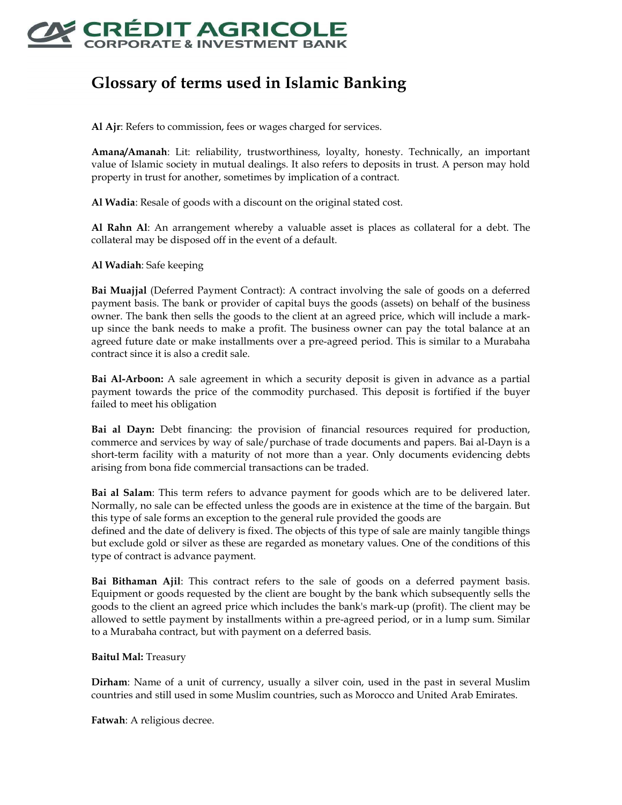

## **Glossary of terms used in Islamic Banking**

**Al Ajr**: Refers to commission, fees or wages charged for services.

**Amana/Amanah**: Lit: reliability, trustworthiness, loyalty, honesty. Technically, an important value of Islamic society in mutual dealings. It also refers to deposits in trust. A person may hold property in trust for another, sometimes by implication of a contract.

**Al Wadia**: Resale of goods with a discount on the original stated cost.

**Al Rahn Al**: An arrangement whereby a valuable asset is places as collateral for a debt. The collateral may be disposed off in the event of a default.

**Al Wadiah**: Safe keeping

**Bai Muajjal** (Deferred Payment Contract): A contract involving the sale of goods on a deferred payment basis. The bank or provider of capital buys the goods (assets) on behalf of the business owner. The bank then sells the goods to the client at an agreed price, which will include a markup since the bank needs to make a profit. The business owner can pay the total balance at an agreed future date or make installments over a pre-agreed period. This is similar to a Murabaha contract since it is also a credit sale.

**Bai Al-Arboon:** A sale agreement in which a security deposit is given in advance as a partial payment towards the price of the commodity purchased. This deposit is fortified if the buyer failed to meet his obligation

**Bai al Dayn:** Debt financing: the provision of financial resources required for production, commerce and services by way of sale/purchase of trade documents and papers. Bai al-Dayn is a short-term facility with a maturity of not more than a year. Only documents evidencing debts arising from bona fide commercial transactions can be traded.

**Bai al Salam**: This term refers to advance payment for goods which are to be delivered later. Normally, no sale can be effected unless the goods are in existence at the time of the bargain. But this type of sale forms an exception to the general rule provided the goods are

defined and the date of delivery is fixed. The objects of this type of sale are mainly tangible things but exclude gold or silver as these are regarded as monetary values. One of the conditions of this type of contract is advance payment.

**Bai Bithaman Ajil**: This contract refers to the sale of goods on a deferred payment basis. Equipment or goods requested by the client are bought by the bank which subsequently sells the goods to the client an agreed price which includes the bank's mark-up (profit). The client may be allowed to settle payment by installments within a pre-agreed period, or in a lump sum. Similar to a Murabaha contract, but with payment on a deferred basis.

## **Baitul Mal:** Treasury

**Dirham**: Name of a unit of currency, usually a silver coin, used in the past in several Muslim countries and still used in some Muslim countries, such as Morocco and United Arab Emirates.

**Fatwah**: A religious decree.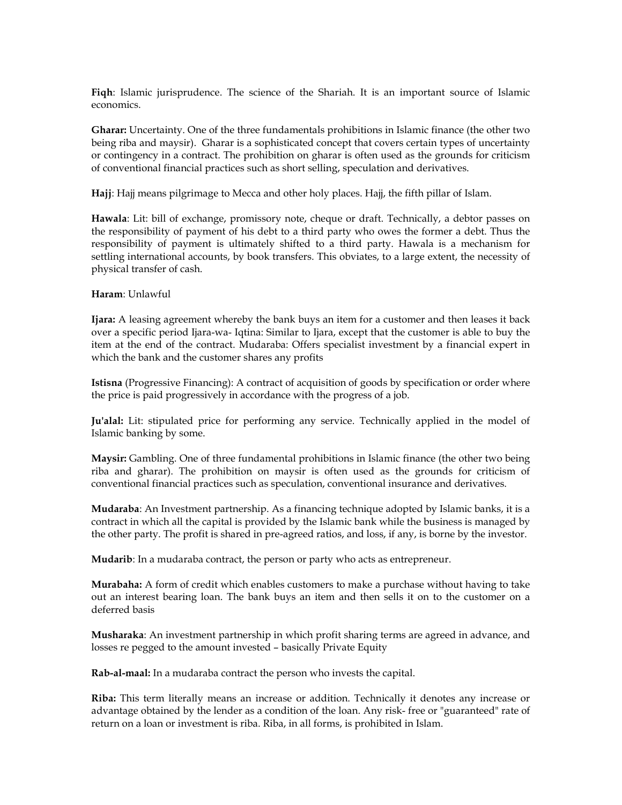**Fiqh**: Islamic jurisprudence. The science of the Shariah. It is an important source of Islamic economics.

**Gharar:** Uncertainty. One of the three fundamentals prohibitions in Islamic finance (the other two being riba and maysir). Gharar is a sophisticated concept that covers certain types of uncertainty or contingency in a contract. The prohibition on gharar is often used as the grounds for criticism of conventional financial practices such as short selling, speculation and derivatives.

**Hajj**: Hajj means pilgrimage to Mecca and other holy places. Hajj, the fifth pillar of Islam.

**Hawala**: Lit: bill of exchange, promissory note, cheque or draft. Technically, a debtor passes on the responsibility of payment of his debt to a third party who owes the former a debt. Thus the responsibility of payment is ultimately shifted to a third party. Hawala is a mechanism for settling international accounts, by book transfers. This obviates, to a large extent, the necessity of physical transfer of cash.

## **Haram**: Unlawful

**Ijara:** A leasing agreement whereby the bank buys an item for a customer and then leases it back over a specific period Ijara-wa- Iqtina: Similar to Ijara, except that the customer is able to buy the item at the end of the contract. Mudaraba: Offers specialist investment by a financial expert in which the bank and the customer shares any profits

**Istisna** (Progressive Financing): A contract of acquisition of goods by specification or order where the price is paid progressively in accordance with the progress of a job.

**Ju'alal:** Lit: stipulated price for performing any service. Technically applied in the model of Islamic banking by some.

**Maysir:** Gambling. One of three fundamental prohibitions in Islamic finance (the other two being riba and gharar). The prohibition on maysir is often used as the grounds for criticism of conventional financial practices such as speculation, conventional insurance and derivatives.

**Mudaraba**: An Investment partnership. As a financing technique adopted by Islamic banks, it is a contract in which all the capital is provided by the Islamic bank while the business is managed by the other party. The profit is shared in pre-agreed ratios, and loss, if any, is borne by the investor.

**Mudarib**: In a mudaraba contract, the person or party who acts as entrepreneur.

**Murabaha:** A form of credit which enables customers to make a purchase without having to take out an interest bearing loan. The bank buys an item and then sells it on to the customer on a deferred basis

**Musharaka**: An investment partnership in which profit sharing terms are agreed in advance, and losses re pegged to the amount invested – basically Private Equity

**Rab-al-maal:** In a mudaraba contract the person who invests the capital.

**Riba:** This term literally means an increase or addition. Technically it denotes any increase or advantage obtained by the lender as a condition of the loan. Any risk- free or "guaranteed" rate of return on a loan or investment is riba. Riba, in all forms, is prohibited in Islam.